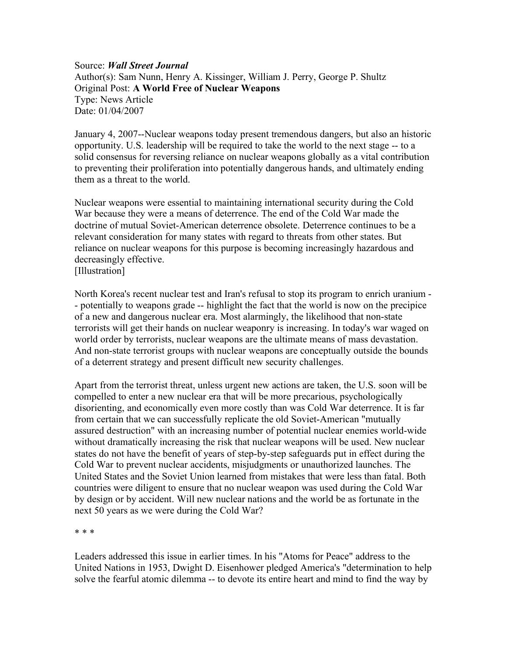Source: *Wall Street Journal* Author(s): Sam Nunn, Henry A. Kissinger, William J. Perry, George P. Shultz Original Post: **A World Free of Nuclear Weapons** Type: News Article Date: 01/04/2007

January 4, 2007--Nuclear weapons today present tremendous dangers, but also an historic opportunity. U.S. leadership will be required to take the world to the next stage -- to a solid consensus for reversing reliance on nuclear weapons globally as a vital contribution to preventing their proliferation into potentially dangerous hands, and ultimately ending them as a threat to the world.

Nuclear weapons were essential to maintaining international security during the Cold War because they were a means of deterrence. The end of the Cold War made the doctrine of mutual Soviet-American deterrence obsolete. Deterrence continues to be a relevant consideration for many states with regard to threats from other states. But reliance on nuclear weapons for this purpose is becoming increasingly hazardous and decreasingly effective.

[Illustration]

North Korea's recent nuclear test and Iran's refusal to stop its program to enrich uranium - - potentially to weapons grade -- highlight the fact that the world is now on the precipice of a new and dangerous nuclear era. Most alarmingly, the likelihood that non-state terrorists will get their hands on nuclear weaponry is increasing. In today's war waged on world order by terrorists, nuclear weapons are the ultimate means of mass devastation. And non-state terrorist groups with nuclear weapons are conceptually outside the bounds of a deterrent strategy and present difficult new security challenges.

Apart from the terrorist threat, unless urgent new actions are taken, the U.S. soon will be compelled to enter a new nuclear era that will be more precarious, psychologically disorienting, and economically even more costly than was Cold War deterrence. It is far from certain that we can successfully replicate the old Soviet-American "mutually assured destruction" with an increasing number of potential nuclear enemies world-wide without dramatically increasing the risk that nuclear weapons will be used. New nuclear states do not have the benefit of years of step-by-step safeguards put in effect during the Cold War to prevent nuclear accidents, misjudgments or unauthorized launches. The United States and the Soviet Union learned from mistakes that were less than fatal. Both countries were diligent to ensure that no nuclear weapon was used during the Cold War by design or by accident. Will new nuclear nations and the world be as fortunate in the next 50 years as we were during the Cold War?

\* \* \*

Leaders addressed this issue in earlier times. In his "Atoms for Peace" address to the United Nations in 1953, Dwight D. Eisenhower pledged America's "determination to help solve the fearful atomic dilemma -- to devote its entire heart and mind to find the way by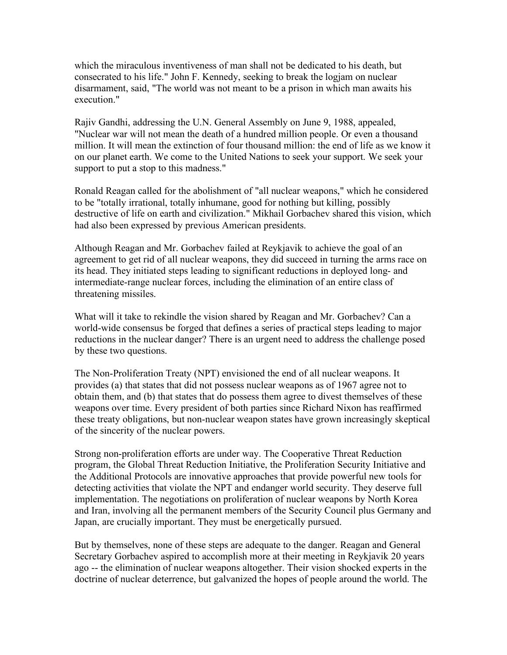which the miraculous inventiveness of man shall not be dedicated to his death, but consecrated to his life." John F. Kennedy, seeking to break the logjam on nuclear disarmament, said, "The world was not meant to be a prison in which man awaits his execution."

Rajiv Gandhi, addressing the U.N. General Assembly on June 9, 1988, appealed, "Nuclear war will not mean the death of a hundred million people. Or even a thousand million. It will mean the extinction of four thousand million: the end of life as we know it on our planet earth. We come to the United Nations to seek your support. We seek your support to put a stop to this madness."

Ronald Reagan called for the abolishment of "all nuclear weapons," which he considered to be "totally irrational, totally inhumane, good for nothing but killing, possibly destructive of life on earth and civilization." Mikhail Gorbachev shared this vision, which had also been expressed by previous American presidents.

Although Reagan and Mr. Gorbachev failed at Reykjavik to achieve the goal of an agreement to get rid of all nuclear weapons, they did succeed in turning the arms race on its head. They initiated steps leading to significant reductions in deployed long- and intermediate-range nuclear forces, including the elimination of an entire class of threatening missiles.

What will it take to rekindle the vision shared by Reagan and Mr. Gorbachev? Can a world-wide consensus be forged that defines a series of practical steps leading to major reductions in the nuclear danger? There is an urgent need to address the challenge posed by these two questions.

The Non-Proliferation Treaty (NPT) envisioned the end of all nuclear weapons. It provides (a) that states that did not possess nuclear weapons as of 1967 agree not to obtain them, and (b) that states that do possess them agree to divest themselves of these weapons over time. Every president of both parties since Richard Nixon has reaffirmed these treaty obligations, but non-nuclear weapon states have grown increasingly skeptical of the sincerity of the nuclear powers.

Strong non-proliferation efforts are under way. The Cooperative Threat Reduction program, the Global Threat Reduction Initiative, the Proliferation Security Initiative and the Additional Protocols are innovative approaches that provide powerful new tools for detecting activities that violate the NPT and endanger world security. They deserve full implementation. The negotiations on proliferation of nuclear weapons by North Korea and Iran, involving all the permanent members of the Security Council plus Germany and Japan, are crucially important. They must be energetically pursued.

But by themselves, none of these steps are adequate to the danger. Reagan and General Secretary Gorbachev aspired to accomplish more at their meeting in Reykjavik 20 years ago -- the elimination of nuclear weapons altogether. Their vision shocked experts in the doctrine of nuclear deterrence, but galvanized the hopes of people around the world. The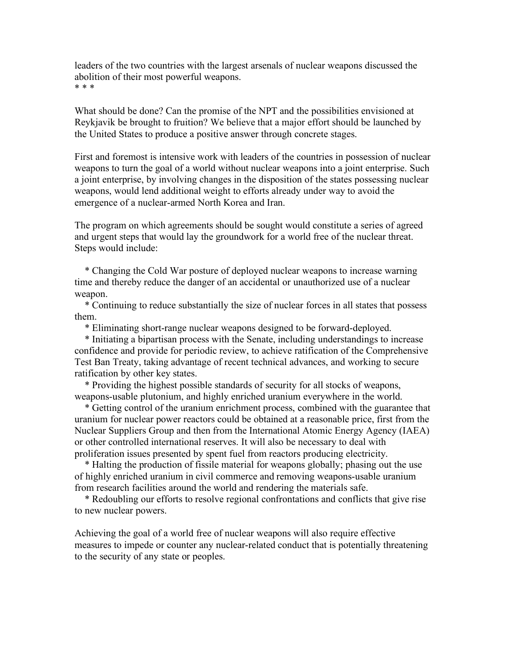leaders of the two countries with the largest arsenals of nuclear weapons discussed the abolition of their most powerful weapons. \* \* \*

What should be done? Can the promise of the NPT and the possibilities envisioned at Reykjavik be brought to fruition? We believe that a major effort should be launched by the United States to produce a positive answer through concrete stages.

First and foremost is intensive work with leaders of the countries in possession of nuclear weapons to turn the goal of a world without nuclear weapons into a joint enterprise. Such a joint enterprise, by involving changes in the disposition of the states possessing nuclear weapons, would lend additional weight to efforts already under way to avoid the emergence of a nuclear-armed North Korea and Iran.

The program on which agreements should be sought would constitute a series of agreed and urgent steps that would lay the groundwork for a world free of the nuclear threat. Steps would include:

\* Changing the Cold War posture of deployed nuclear weapons to increase warning time and thereby reduce the danger of an accidental or unauthorized use of a nuclear weapon.

\* Continuing to reduce substantially the size of nuclear forces in all states that possess them.

\* Eliminating short-range nuclear weapons designed to be forward-deployed.

\* Initiating a bipartisan process with the Senate, including understandings to increase confidence and provide for periodic review, to achieve ratification of the Comprehensive Test Ban Treaty, taking advantage of recent technical advances, and working to secure ratification by other key states.

\* Providing the highest possible standards of security for all stocks of weapons, weapons-usable plutonium, and highly enriched uranium everywhere in the world.

\* Getting control of the uranium enrichment process, combined with the guarantee that uranium for nuclear power reactors could be obtained at a reasonable price, first from the Nuclear Suppliers Group and then from the International Atomic Energy Agency (IAEA) or other controlled international reserves. It will also be necessary to deal with proliferation issues presented by spent fuel from reactors producing electricity.

\* Halting the production of fissile material for weapons globally; phasing out the use of highly enriched uranium in civil commerce and removing weapons-usable uranium from research facilities around the world and rendering the materials safe.

\* Redoubling our efforts to resolve regional confrontations and conflicts that give rise to new nuclear powers.

Achieving the goal of a world free of nuclear weapons will also require effective measures to impede or counter any nuclear-related conduct that is potentially threatening to the security of any state or peoples.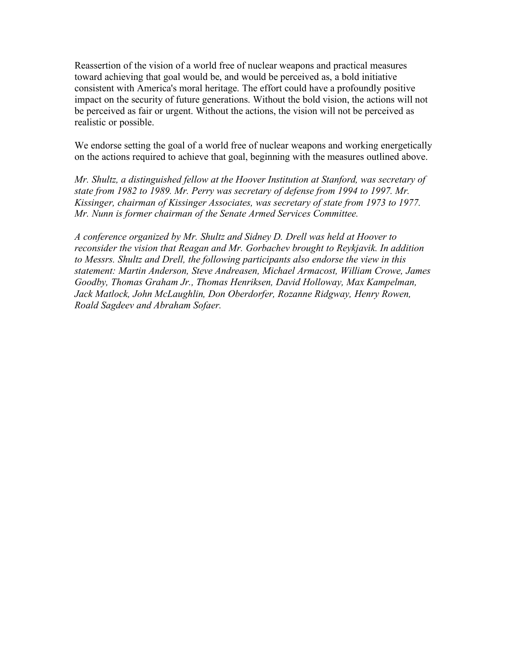Reassertion of the vision of a world free of nuclear weapons and practical measures toward achieving that goal would be, and would be perceived as, a bold initiative consistent with America's moral heritage. The effort could have a profoundly positive impact on the security of future generations. Without the bold vision, the actions will not be perceived as fair or urgent. Without the actions, the vision will not be perceived as realistic or possible.

We endorse setting the goal of a world free of nuclear weapons and working energetically on the actions required to achieve that goal, beginning with the measures outlined above.

*Mr. Shultz, a distinguished fellow at the Hoover Institution at Stanford, was secretary of state from 1982 to 1989. Mr. Perry was secretary of defense from 1994 to 1997. Mr. Kissinger, chairman of Kissinger Associates, was secretary of state from 1973 to 1977. Mr. Nunn is former chairman of the Senate Armed Services Committee.*

*A conference organized by Mr. Shultz and Sidney D. Drell was held at Hoover to reconsider the vision that Reagan and Mr. Gorbachev brought to Reykjavik. In addition to Messrs. Shultz and Drell, the following participants also endorse the view in this statement: Martin Anderson, Steve Andreasen, Michael Armacost, William Crowe, James Goodby, Thomas Graham Jr., Thomas Henriksen, David Holloway, Max Kampelman, Jack Matlock, John McLaughlin, Don Oberdorfer, Rozanne Ridgway, Henry Rowen, Roald Sagdeev and Abraham Sofaer.*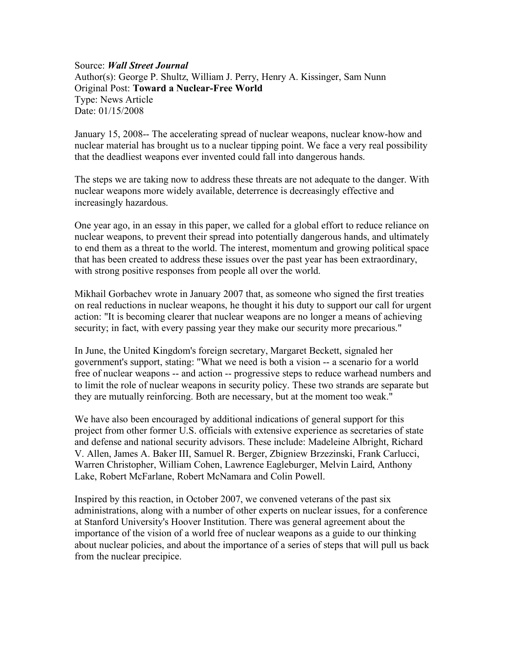Source: *Wall Street Journal* Author(s): George P. Shultz, William J. Perry, Henry A. Kissinger, Sam Nunn Original Post: **Toward a Nuclear-Free World** Type: News Article Date: 01/15/2008

January 15, 2008-- The accelerating spread of nuclear weapons, nuclear know-how and nuclear material has brought us to a nuclear tipping point. We face a very real possibility that the deadliest weapons ever invented could fall into dangerous hands.

The steps we are taking now to address these threats are not adequate to the danger. With nuclear weapons more widely available, deterrence is decreasingly effective and increasingly hazardous.

One year ago, in an essay in this paper, we called for a global effort to reduce reliance on nuclear weapons, to prevent their spread into potentially dangerous hands, and ultimately to end them as a threat to the world. The interest, momentum and growing political space that has been created to address these issues over the past year has been extraordinary, with strong positive responses from people all over the world.

Mikhail Gorbachev wrote in January 2007 that, as someone who signed the first treaties on real reductions in nuclear weapons, he thought it his duty to support our call for urgent action: "It is becoming clearer that nuclear weapons are no longer a means of achieving security; in fact, with every passing year they make our security more precarious."

In June, the United Kingdom's foreign secretary, Margaret Beckett, signaled her government's support, stating: "What we need is both a vision -- a scenario for a world free of nuclear weapons -- and action -- progressive steps to reduce warhead numbers and to limit the role of nuclear weapons in security policy. These two strands are separate but they are mutually reinforcing. Both are necessary, but at the moment too weak."

We have also been encouraged by additional indications of general support for this project from other former U.S. officials with extensive experience as secretaries of state and defense and national security advisors. These include: Madeleine Albright, Richard V. Allen, James A. Baker III, Samuel R. Berger, Zbigniew Brzezinski, Frank Carlucci, Warren Christopher, William Cohen, Lawrence Eagleburger, Melvin Laird, Anthony Lake, Robert McFarlane, Robert McNamara and Colin Powell.

Inspired by this reaction, in October 2007, we convened veterans of the past six administrations, along with a number of other experts on nuclear issues, for a conference at Stanford University's Hoover Institution. There was general agreement about the importance of the vision of a world free of nuclear weapons as a guide to our thinking about nuclear policies, and about the importance of a series of steps that will pull us back from the nuclear precipice.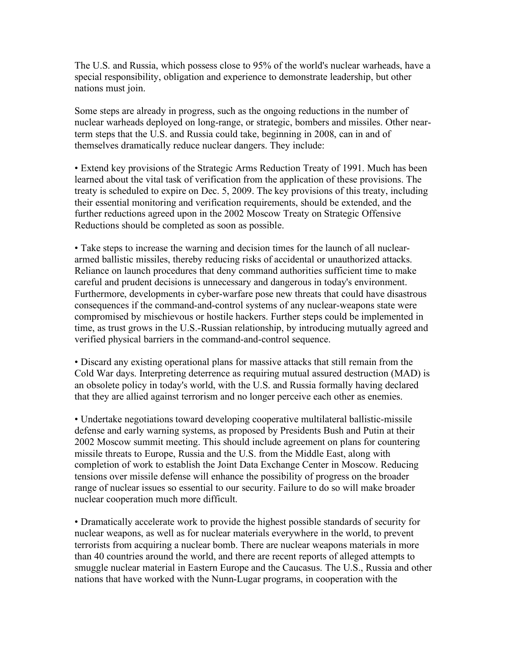The U.S. and Russia, which possess close to 95% of the world's nuclear warheads, have a special responsibility, obligation and experience to demonstrate leadership, but other nations must join.

Some steps are already in progress, such as the ongoing reductions in the number of nuclear warheads deployed on long-range, or strategic, bombers and missiles. Other nearterm steps that the U.S. and Russia could take, beginning in 2008, can in and of themselves dramatically reduce nuclear dangers. They include:

• Extend key provisions of the Strategic Arms Reduction Treaty of 1991. Much has been learned about the vital task of verification from the application of these provisions. The treaty is scheduled to expire on Dec. 5, 2009. The key provisions of this treaty, including their essential monitoring and verification requirements, should be extended, and the further reductions agreed upon in the 2002 Moscow Treaty on Strategic Offensive Reductions should be completed as soon as possible.

• Take steps to increase the warning and decision times for the launch of all nucleararmed ballistic missiles, thereby reducing risks of accidental or unauthorized attacks. Reliance on launch procedures that deny command authorities sufficient time to make careful and prudent decisions is unnecessary and dangerous in today's environment. Furthermore, developments in cyber-warfare pose new threats that could have disastrous consequences if the command-and-control systems of any nuclear-weapons state were compromised by mischievous or hostile hackers. Further steps could be implemented in time, as trust grows in the U.S.-Russian relationship, by introducing mutually agreed and verified physical barriers in the command-and-control sequence.

• Discard any existing operational plans for massive attacks that still remain from the Cold War days. Interpreting deterrence as requiring mutual assured destruction (MAD) is an obsolete policy in today's world, with the U.S. and Russia formally having declared that they are allied against terrorism and no longer perceive each other as enemies.

• Undertake negotiations toward developing cooperative multilateral ballistic-missile defense and early warning systems, as proposed by Presidents Bush and Putin at their 2002 Moscow summit meeting. This should include agreement on plans for countering missile threats to Europe, Russia and the U.S. from the Middle East, along with completion of work to establish the Joint Data Exchange Center in Moscow. Reducing tensions over missile defense will enhance the possibility of progress on the broader range of nuclear issues so essential to our security. Failure to do so will make broader nuclear cooperation much more difficult.

• Dramatically accelerate work to provide the highest possible standards of security for nuclear weapons, as well as for nuclear materials everywhere in the world, to prevent terrorists from acquiring a nuclear bomb. There are nuclear weapons materials in more than 40 countries around the world, and there are recent reports of alleged attempts to smuggle nuclear material in Eastern Europe and the Caucasus. The U.S., Russia and other nations that have worked with the Nunn-Lugar programs, in cooperation with the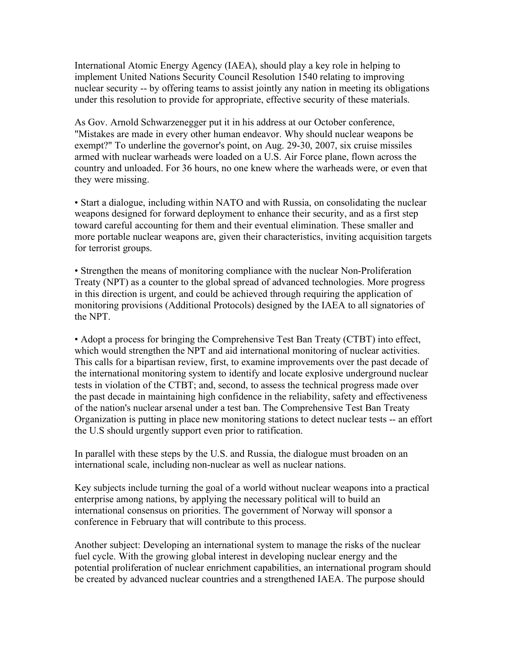International Atomic Energy Agency (IAEA), should play a key role in helping to implement United Nations Security Council Resolution 1540 relating to improving nuclear security -- by offering teams to assist jointly any nation in meeting its obligations under this resolution to provide for appropriate, effective security of these materials.

As Gov. Arnold Schwarzenegger put it in his address at our October conference, "Mistakes are made in every other human endeavor. Why should nuclear weapons be exempt?" To underline the governor's point, on Aug. 29-30, 2007, six cruise missiles armed with nuclear warheads were loaded on a U.S. Air Force plane, flown across the country and unloaded. For 36 hours, no one knew where the warheads were, or even that they were missing.

• Start a dialogue, including within NATO and with Russia, on consolidating the nuclear weapons designed for forward deployment to enhance their security, and as a first step toward careful accounting for them and their eventual elimination. These smaller and more portable nuclear weapons are, given their characteristics, inviting acquisition targets for terrorist groups.

• Strengthen the means of monitoring compliance with the nuclear Non-Proliferation Treaty (NPT) as a counter to the global spread of advanced technologies. More progress in this direction is urgent, and could be achieved through requiring the application of monitoring provisions (Additional Protocols) designed by the IAEA to all signatories of the NPT.

• Adopt a process for bringing the Comprehensive Test Ban Treaty (CTBT) into effect, which would strengthen the NPT and aid international monitoring of nuclear activities. This calls for a bipartisan review, first, to examine improvements over the past decade of the international monitoring system to identify and locate explosive underground nuclear tests in violation of the CTBT; and, second, to assess the technical progress made over the past decade in maintaining high confidence in the reliability, safety and effectiveness of the nation's nuclear arsenal under a test ban. The Comprehensive Test Ban Treaty Organization is putting in place new monitoring stations to detect nuclear tests -- an effort the U.S should urgently support even prior to ratification.

In parallel with these steps by the U.S. and Russia, the dialogue must broaden on an international scale, including non-nuclear as well as nuclear nations.

Key subjects include turning the goal of a world without nuclear weapons into a practical enterprise among nations, by applying the necessary political will to build an international consensus on priorities. The government of Norway will sponsor a conference in February that will contribute to this process.

Another subject: Developing an international system to manage the risks of the nuclear fuel cycle. With the growing global interest in developing nuclear energy and the potential proliferation of nuclear enrichment capabilities, an international program should be created by advanced nuclear countries and a strengthened IAEA. The purpose should